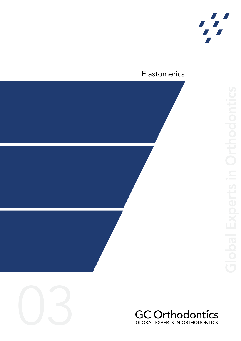

#### Elastomerics







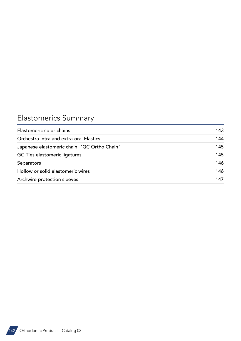# Elastomerics Summary

| Elastomeric color chains                    | 143 |
|---------------------------------------------|-----|
| Orchestra Intra and extra-oral Elastics     | 144 |
| Japanese elastomeric chain "GC Ortho Chain" | 145 |
| <b>GC Ties elastomeric ligatures</b>        | 145 |
| Separators                                  | 146 |
| Hollow or solid elastomeric wires           | 146 |
| Archwire protection sleeves                 | 147 |

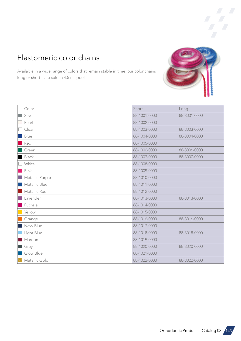### <span id="page-2-0"></span>Elastomeric color chains

Available in a wide range of colors that remain stable in time, our color chains long or short – are sold in 4.5 m spools.

| Color           | Short        | Long         |
|-----------------|--------------|--------------|
| Silver          | 88-1001-0000 | 88-3001-0000 |
| Pearl           | 88-1002-0000 |              |
| Clear           | 88-1003-0000 | 88-3003-0000 |
| Blue            | 88-1004-0000 | 88-3004-0000 |
| Red             | 88-1005-0000 |              |
| Green           | 88-1006-0000 | 88-3006-0000 |
| Black           | 88-1007-0000 | 88-3007-0000 |
| White           | 88-1008-0000 |              |
| Pink            | 88-1009-0000 |              |
| Metallic Purple | 88-1010-0000 |              |
| Metallic Blue   | 88-1011-0000 |              |
| Metallic Red    | 88-1012-0000 |              |
| Lavender        | 88-1013-0000 | 88-3013-0000 |
| Fuchsia         | 88-1014-0000 |              |
| Yellow          | 88-1015-0000 |              |
| Orange          | 88-1016-0000 | 88-3016-0000 |
| Navy Blue       | 88-1017-0000 |              |
| Light Blue      | 88-1018-0000 | 88-3018-0000 |
| Maroon          | 88-1019-0000 |              |
| Grey            | 88-1020-0000 | 88-3020-0000 |
| Glow Blue       | 88-1021-0000 |              |
| Metallic Gold   | 88-1022-0000 | 88-3022-0000 |





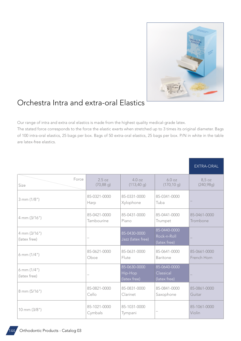

### <span id="page-3-0"></span>Orchestra Intra and extra-oral Elastics

Our range of intra and extra oral elastics is made from the highest quality medical-grade latex.

The stated force corresponds to the force the elastic exerts when stretched up to 3 times its original diameter. Bags of 100 intra-oral elastics, 25 bags per box. Bags of 50 extra-oral elastics, 25 bags per box. P/N in white in the table are latex-free elastics.

|                                 |                            |                                         |                                             | EXTRA-ORAL                  |
|---------------------------------|----------------------------|-----------------------------------------|---------------------------------------------|-----------------------------|
| Force<br>Size                   | 2.5 oz<br>$(70, 88$ g)     | 4.0oz<br>(113, 40)                      | 6.0 oz<br>(170, 10g)                        | $8,5$ oz<br>(240, 98g)      |
| 3 mm (1/8")                     | 85-0321-0000<br>Harp       | 85-0331-0000<br>Xylophone               | 85-0341-0000<br>Tuba                        |                             |
| 4 mm (3/16")                    | 85-0421-0000<br>Tambourine | 85-0431-0000<br>Piano                   | 85-0441-0000<br>Trumpet                     | 85-0461-0000<br>Trombone    |
| 4 mm (3/16")<br>(latex free)    |                            | 85-0430-0000<br>Jazz (latex free)       | 85-0440-0000<br>Rock-n-Roll<br>(latex free) |                             |
| 6 mm $(1/4")$                   | 85-0621-0000<br>Oboe       | 85-0631-0000<br>Flute                   | 85-0641-0000<br>Baritone                    | 85-0661-0000<br>French Horn |
| $6$ mm $(1/4")$<br>(latex free) |                            | 85-0630-0000<br>Hip-Hop<br>(latex free) | 85-0640-0000<br>Classical<br>(latex free)   | -                           |
| 8 mm (5/16")                    | 85-0821-0000<br>Cello      | 85-0831-0000<br>Clarinet                | 85-0841-0000<br>Saxophone                   | 85-0861-0000<br>Guitar      |
| $10 \text{ mm} (3/8")$          | 85-1021-0000<br>Cymbals    | 85-1031-0000<br>Tympani                 |                                             | 85-1061-0000<br>Violin      |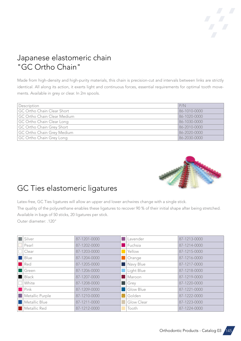#### <span id="page-4-0"></span>Japanese elastomeric chain "GC Ortho Chain"

Made from high-density and high-purity materials, this chain is precision-cut and intervals between links are strictly identical. All along its action, it exerts light and continuous forces, essential requirements for optimal tooth movements. Available in grey or clear. In 2m spools.

| Description                 | P/N          |
|-----------------------------|--------------|
| GC Ortho Chain Clear Short  | 86-1010-0000 |
| GC Ortho Chain Clear Medium | 86-1020-0000 |
| GC Ortho Chain Clear Long   | 86-1030-0000 |
| GC Ortho Chain Grey Short   | 86-2010-0000 |
| GC Ortho Chain Grey Medium  | 86-2020-0000 |
| GC Ortho Chain Grey Long    | 86-2030-0000 |



#### GC Ties elastomeric ligatures

Latex-free, GC Ties ligatures will allow an upper and lower archwires change with a single stick. The quality of the polyurethane enables these ligatures to recover 90 % of their initial shape after being stretched. Available in bags of 50 sticks, 20 ligatures per stick. Outer diameter: .120"

| Silver          | 87-1201-0000 | Lavender         | 87-1213-0000 |
|-----------------|--------------|------------------|--------------|
| Pearl           | 87-1202-0000 | Fuchsia          | 87-1214-0000 |
| Clear           | 87-1203-0000 | Yellow           | 87-1215-0000 |
| Blue            | 87-1204-0000 | Orange           | 87-1216-0000 |
| Red             | 87-1205-0000 | Navy Blue        | 87-1217-0000 |
| Green           | 87-1206-0000 | Light Blue       | 87-1218-0000 |
| <b>Black</b>    | 87-1207-0000 | Maroon           | 87-1219-0000 |
| White           | 87-1208-0000 | <b>Grey</b>      | 87-1220-0000 |
| Pink            | 87-1209-0000 | <b>Glow Blue</b> | 87-1221-0000 |
| Metallic Purple | 87-1210-0000 | Golden           | 87-1222-0000 |
| Metallic Blue   | 87-1211-0000 | Glow Clear       | 87-1223-0000 |
| Metallic Red    | 87-1212-0000 | Tooth            | 87-1224-0000 |

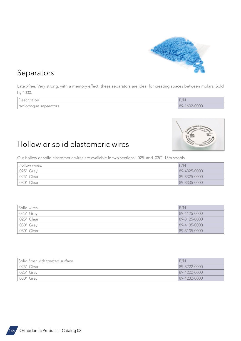

#### <span id="page-5-0"></span>Separators

Latex-free. Very strong, with a memory effect, these separators are ideal for creating spaces between molars. Sold by 1000.

| $\sim$<br>Description   | D/N                      |
|-------------------------|--------------------------|
| l radiopaque separators | 0000<br>$89 -$<br>$\sim$ |



#### Hollow or solid elastomeric wires

Our hollow or solid elastomeric wires are available in two sections: .025¨ and .030¨. 15m spools.

| Hollow wires:        | P/N          |
|----------------------|--------------|
| $\vert .025$ " Grey  | 89-4325-0000 |
| $\vert .025$ " Clear | 89-3325-0000 |
| 1.030" Clear         | 89-3335-0000 |

| Solid wires:       | P/N                |
|--------------------|--------------------|
| $.025$ " Grey      | 89-4125-0000       |
| $\mid .025"$ Clear | 89-3125-0000       |
| .030" Grey         | $89 - 4135 - 0000$ |
| .030" Clear        | 89-3135-0000       |

| Solid fiber with treated surface | P/N            |
|----------------------------------|----------------|
| .025" Clear                      | 89-3222-0000   |
| .025" Grey                       | $89-4222-0000$ |
| .030" Grey                       | 89-4232-0000   |